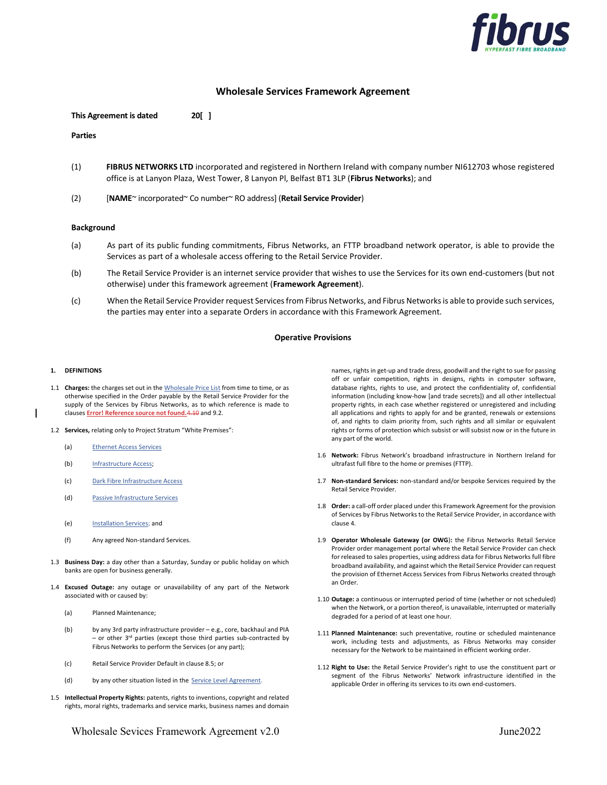

# Wholesale Services Framework Agreement

This Agreement is dated 20[ ]

### Parties

- (1) FIBRUS NETWORKS LTD incorporated and registered in Northern Ireland with company number NI612703 whose registered office is at Lanyon Plaza, West Tower, 8 Lanyon Pl, Belfast BT1 3LP (Fibrus Networks); and
- (2) [NAME~ incorporated~ Co number~ RO address] (Retail Service Provider)

## **Background**

- (a) As part of its public funding commitments, Fibrus Networks, an FTTP broadband network operator, is able to provide the Services as part of a wholesale access offering to the Retail Service Provider.
- (b) The Retail Service Provider is an internet service provider that wishes to use the Services for its own end-customers (but not otherwise) under this framework agreement (Framework Agreement).
- (c) When the Retail Service Provider request Services from Fibrus Networks, and Fibrus Networks is able to provide such services, the parties may enter into a separate Orders in accordance with this Framework Agreement.

### Operative Provisions

#### 1. DEFINITIONS

- 1.1 Charges: the charges set out in the Wholesale Price List from time to time, or as otherwise specified in the Order payable by the Retail Service Provider for the supply of the Services by Fibrus Networks, as to which reference is made to clauses **Error! Reference source not found.**4.10 and 9.2.
- 1.2 Services, relating only to Project Stratum "White Premises":
	- (a) Ethernet Access Services
	- (b) Infrastructure Access;
	- (c) Dark Fibre Infrastructure Access
	- (d) Passive Infrastructure Services
	- (e) Installation Services; and
	- (f) Any agreed Non-standard Services.
- 1.3 Business Day: a day other than a Saturday, Sunday or public holiday on which banks are open for business generally.
- 1.4 Excused Outage: any outage or unavailability of any part of the Network associated with or caused by:
	- (a) Planned Maintenance;
	- (b) by any 3rd party infrastructure provider e.g., core, backhaul and PIA - or other 3<sup>rd</sup> parties (except those third parties sub-contracted by Fibrus Networks to perform the Services (or any part);
	- (c) Retail Service Provider Default in clause 8.5; or
	- (d) by any other situation listed in the Service Level Agreement.
- 1.5 Intellectual Property Rights: patents, rights to inventions, copyright and related rights, moral rights, trademarks and service marks, business names and domain

Wholesale Sevices Framework Agreement v2.0 June2022

names, rights in get-up and trade dress, goodwill and the right to sue for passing off or unfair competition, rights in designs, rights in computer software, database rights, rights to use, and protect the confidentiality of, confidential information (including know-how [and trade secrets]) and all other intellectual property rights, in each case whether registered or unregistered and including all applications and rights to apply for and be granted, renewals or extensions of, and rights to claim priority from, such rights and all similar or equivalent rights or forms of protection which subsist or will subsist now or in the future in any part of the world.

- 1.6 Network: Fibrus Network's broadband infrastructure in Northern Ireland for ultrafast full fibre to the home or premises (FTTP).
- 1.7 Non-standard Services: non-standard and/or bespoke Services required by the Retail Service Provider.
- 1.8 Order: a call-off order placed under this Framework Agreement for the provision of Services by Fibrus Networks to the Retail Service Provider, in accordance with clause 4.
- 1.9 Operator Wholesale Gateway (or OWG): the Fibrus Networks Retail Service Provider order management portal where the Retail Service Provider can check for released to sales properties, using address data for Fibrus Networks full fibre broadband availability, and against which the Retail Service Provider can request the provision of Ethernet Access Services from Fibrus Networks created through an Order.
- 1.10 Outage: a continuous or interrupted period of time (whether or not scheduled) when the Network, or a portion thereof, is unavailable, interrupted or materially degraded for a period of at least one hour.
- 1.11 Planned Maintenance: such preventative, routine or scheduled maintenance work, including tests and adjustments, as Fibrus Networks may consider necessary for the Network to be maintained in efficient working order.
- 1.12 Right to Use: the Retail Service Provider's right to use the constituent part or segment of the Fibrus Networks' Network infrastructure identified in the applicable Order in offering its services to its own end-customers.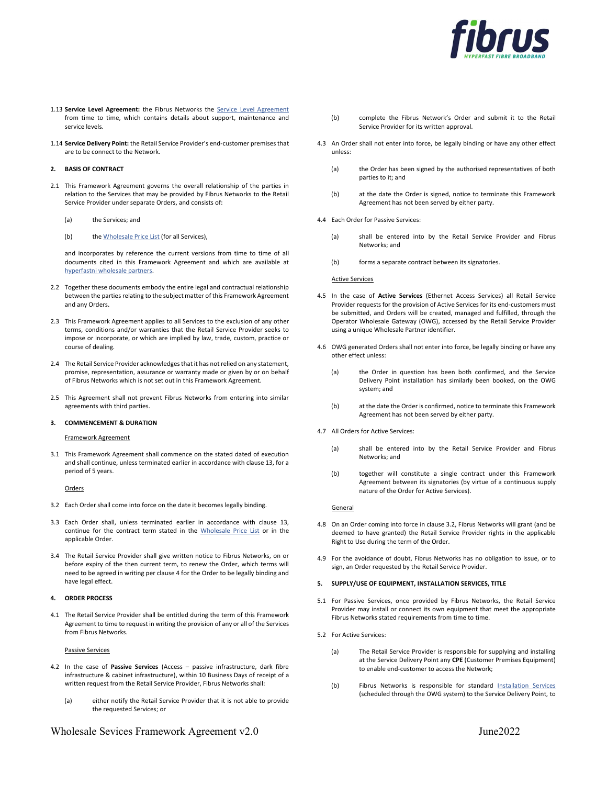

- 1.13 Service Level Agreement: the Fibrus Networks the Service Level Agreement from time to time, which contains details about support, maintenance and service levels.
- 1.14 Service Delivery Point: the Retail Service Provider's end-customer premises that are to be connect to the Network.

### 2. BASIS OF CONTRACT

- 2.1 This Framework Agreement governs the overall relationship of the parties in relation to the Services that may be provided by Fibrus Networks to the Retail Service Provider under separate Orders, and consists of:
	- (a) the Services; and
	- (b) the Wholesale Price List (for all Services),

and incorporates by reference the current versions from time to time of all documents cited in this Framework Agreement and which are available at hyperfastni wholesale partners.

- 2.2 Together these documents embody the entire legal and contractual relationship between the parties relating to the subject matter of this Framework Agreement and any Orders.
- 2.3 This Framework Agreement applies to all Services to the exclusion of any other terms, conditions and/or warranties that the Retail Service Provider seeks to impose or incorporate, or which are implied by law, trade, custom, practice or course of dealing.
- 2.4 The Retail Service Provider acknowledges that it has not relied on any statement, promise, representation, assurance or warranty made or given by or on behalf of Fibrus Networks which is not set out in this Framework Agreement.
- 2.5 This Agreement shall not prevent Fibrus Networks from entering into similar agreements with third parties.

#### 3. COMMENCEMENT & DURATION

### Framework Agreement

3.1 This Framework Agreement shall commence on the stated dated of execution and shall continue, unless terminated earlier in accordance with clause 13, for a period of 5 years.

Orders

- 3.2 Each Order shall come into force on the date it becomes legally binding.
- 3.3 Each Order shall, unless terminated earlier in accordance with clause 13, continue for the contract term stated in the Wholesale Price List or in the applicable Order.
- 3.4 The Retail Service Provider shall give written notice to Fibrus Networks, on or before expiry of the then current term, to renew the Order, which terms will need to be agreed in writing per clause 4 for the Order to be legally binding and have legal effect.

### 4. ORDER PROCESS

4.1 The Retail Service Provider shall be entitled during the term of this Framework Agreement to time to request in writing the provision of any or all of the Services from Fibrus Networks.

### Passive Services

- 4.2 In the case of Passive Services (Access passive infrastructure, dark fibre infrastructure & cabinet infrastructure), within 10 Business Days of receipt of a written request from the Retail Service Provider, Fibrus Networks shall:
	- (a) either notify the Retail Service Provider that it is not able to provide the requested Services; or

# Wholesale Sevices Framework Agreement v2.0 June2022

- (b) complete the Fibrus Network's Order and submit it to the Retail Service Provider for its written approval.
- 4.3 An Order shall not enter into force, be legally binding or have any other effect unless:
	- (a) the Order has been signed by the authorised representatives of both parties to it; and
	- (b) at the date the Order is signed, notice to terminate this Framework Agreement has not been served by either party.
- 4.4 Each Order for Passive Services:
	- (a) shall be entered into by the Retail Service Provider and Fibrus Networks; and
	- (b) forms a separate contract between its signatories.

#### Active Services

- 4.5 In the case of Active Services (Ethernet Access Services) all Retail Service Provider requests for the provision of Active Services for its end-customers must be submitted, and Orders will be created, managed and fulfilled, through the Operator Wholesale Gateway (OWG), accessed by the Retail Service Provider using a unique Wholesale Partner identifier.
- 4.6 OWG generated Orders shall not enter into force, be legally binding or have any other effect unless:
	- (a) the Order in question has been both confirmed, and the Service Delivery Point installation has similarly been booked, on the OWG system; and
	- (b) at the date the Order is confirmed, notice to terminate this Framework Agreement has not been served by either party.
- 4.7 All Orders for Active Services:
	- (a) shall be entered into by the Retail Service Provider and Fibrus Networks; and
	- (b) together will constitute a single contract under this Framework Agreement between its signatories (by virtue of a continuous supply nature of the Order for Active Services).

### **General**

- 4.8 On an Order coming into force in clause 3.2, Fibrus Networks will grant (and be deemed to have granted) the Retail Service Provider rights in the applicable Right to Use during the term of the Order.
- 4.9 For the avoidance of doubt, Fibrus Networks has no obligation to issue, or to sign, an Order requested by the Retail Service Provider.

### 5. SUPPLY/USE OF EQUIPMENT, INSTALLATION SERVICES, TITLE

- 5.1 For Passive Services, once provided by Fibrus Networks, the Retail Service Provider may install or connect its own equipment that meet the appropriate Fibrus Networks stated requirements from time to time.
- 5.2 For Active Services:
	- (a) The Retail Service Provider is responsible for supplying and installing at the Service Delivery Point any CPE (Customer Premises Equipment) to enable end-customer to access the Network;
	- (b) Fibrus Networks is responsible for standard Installation Services (scheduled through the OWG system) to the Service Delivery Point, to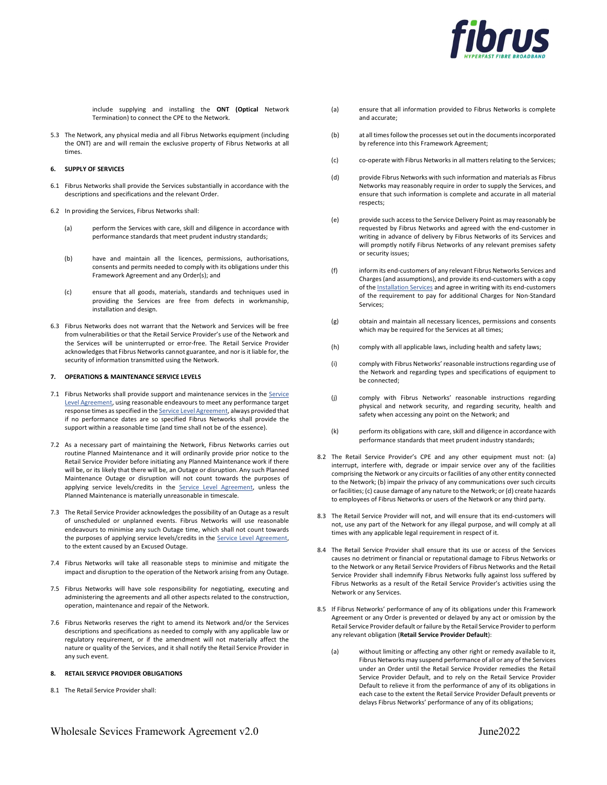

include supplying and installing the ONT (Optical Network Termination) to connect the CPE to the Network.

5.3 The Network, any physical media and all Fibrus Networks equipment (including the ONT) are and will remain the exclusive property of Fibrus Networks at all times.

### 6. SUPPLY OF SERVICES

- 6.1 Fibrus Networks shall provide the Services substantially in accordance with the descriptions and specifications and the relevant Order.
- 6.2 In providing the Services, Fibrus Networks shall:
	- (a) perform the Services with care, skill and diligence in accordance with performance standards that meet prudent industry standards;
	- (b) have and maintain all the licences, permissions, authorisations, consents and permits needed to comply with its obligations under this Framework Agreement and any Order(s); and
	- (c) ensure that all goods, materials, standards and techniques used in providing the Services are free from defects in workmanship, installation and design.
- 6.3 Fibrus Networks does not warrant that the Network and Services will be free from vulnerabilities or that the Retail Service Provider's use of the Network and the Services will be uninterrupted or error-free. The Retail Service Provider acknowledges that Fibrus Networks cannot guarantee, and nor is it liable for, the security of information transmitted using the Network.

### 7. OPERATIONS & MAINTENANCE SERVICE LEVELS

- 7.1 Fibrus Networks shall provide support and maintenance services in the Service Level Agreement, using reasonable endeavours to meet any performance target response times as specified in the Service Level Agreement, always provided that if no performance dates are so specified Fibrus Networks shall provide the support within a reasonable time (and time shall not be of the essence).
- 7.2 As a necessary part of maintaining the Network, Fibrus Networks carries out routine Planned Maintenance and it will ordinarily provide prior notice to the Retail Service Provider before initiating any Planned Maintenance work if there will be, or its likely that there will be, an Outage or disruption. Any such Planned Maintenance Outage or disruption will not count towards the purposes of applying service levels/credits in the Service Level Agreement, unless the Planned Maintenance is materially unreasonable in timescale.
- 7.3 The Retail Service Provider acknowledges the possibility of an Outage as a result of unscheduled or unplanned events. Fibrus Networks will use reasonable endeavours to minimise any such Outage time, which shall not count towards the purposes of applying service levels/credits in the **Service Level Agreement**, to the extent caused by an Excused Outage.
- 7.4 Fibrus Networks will take all reasonable steps to minimise and mitigate the impact and disruption to the operation of the Network arising from any Outage.
- 7.5 Fibrus Networks will have sole responsibility for negotiating, executing and administering the agreements and all other aspects related to the construction, operation, maintenance and repair of the Network.
- 7.6 Fibrus Networks reserves the right to amend its Network and/or the Services descriptions and specifications as needed to comply with any applicable law or regulatory requirement, or if the amendment will not materially affect the nature or quality of the Services, and it shall notify the Retail Service Provider in any such event.

### 8. RETAIL SERVICE PROVIDER OBLIGATIONS

8.1 The Retail Service Provider shall:

- (a) ensure that all information provided to Fibrus Networks is complete and accurate;
- (b) at all times follow the processes set out in the documents incorporated by reference into this Framework Agreement;
- (c) co-operate with Fibrus Networks in all matters relating to the Services;
- (d) provide Fibrus Networks with such information and materials as Fibrus Networks may reasonably require in order to supply the Services, and ensure that such information is complete and accurate in all material respects;
- (e) provide such access to the Service Delivery Point as may reasonably be requested by Fibrus Networks and agreed with the end-customer in writing in advance of delivery by Fibrus Networks of its Services and will promptly notify Fibrus Networks of any relevant premises safety or security issues;
- (f) inform its end-customers of any relevant Fibrus Networks Services and Charges (and assumptions), and provide its end-customers with a copy of the **Installation Services** and agree in writing with its end-customers of the requirement to pay for additional Charges for Non-Standard Services;
- (g) obtain and maintain all necessary licences, permissions and consents which may be required for the Services at all times;
- (h) comply with all applicable laws, including health and safety laws;
- (i) comply with Fibrus Networks' reasonable instructions regarding use of the Network and regarding types and specifications of equipment to be connected;
- (j) comply with Fibrus Networks' reasonable instructions regarding physical and network security, and regarding security, health and safety when accessing any point on the Network; and
- (k) perform its obligations with care, skill and diligence in accordance with performance standards that meet prudent industry standards;
- 8.2 The Retail Service Provider's CPE and any other equipment must not: (a) interrupt, interfere with, degrade or impair service over any of the facilities comprising the Network or any circuits or facilities of any other entity connected to the Network; (b) impair the privacy of any communications over such circuits or facilities; (c) cause damage of any nature to the Network; or (d) create hazards to employees of Fibrus Networks or users of the Network or any third party.
- 8.3 The Retail Service Provider will not, and will ensure that its end-customers will not, use any part of the Network for any illegal purpose, and will comply at all times with any applicable legal requirement in respect of it.
- 8.4 The Retail Service Provider shall ensure that its use or access of the Services causes no detriment or financial or reputational damage to Fibrus Networks or to the Network or any Retail Service Providers of Fibrus Networks and the Retail Service Provider shall indemnify Fibrus Networks fully against loss suffered by Fibrus Networks as a result of the Retail Service Provider's activities using the Network or any Services.
- 8.5 If Fibrus Networks' performance of any of its obligations under this Framework Agreement or any Order is prevented or delayed by any act or omission by the Retail Service Provider default or failure by the Retail Service Provider to perform any relevant obligation (Retail Service Provider Default):
	- (a) without limiting or affecting any other right or remedy available to it, Fibrus Networks may suspend performance of all or any of the Services under an Order until the Retail Service Provider remedies the Retail Service Provider Default, and to rely on the Retail Service Provider Default to relieve it from the performance of any of its obligations in each case to the extent the Retail Service Provider Default prevents or delays Fibrus Networks' performance of any of its obligations;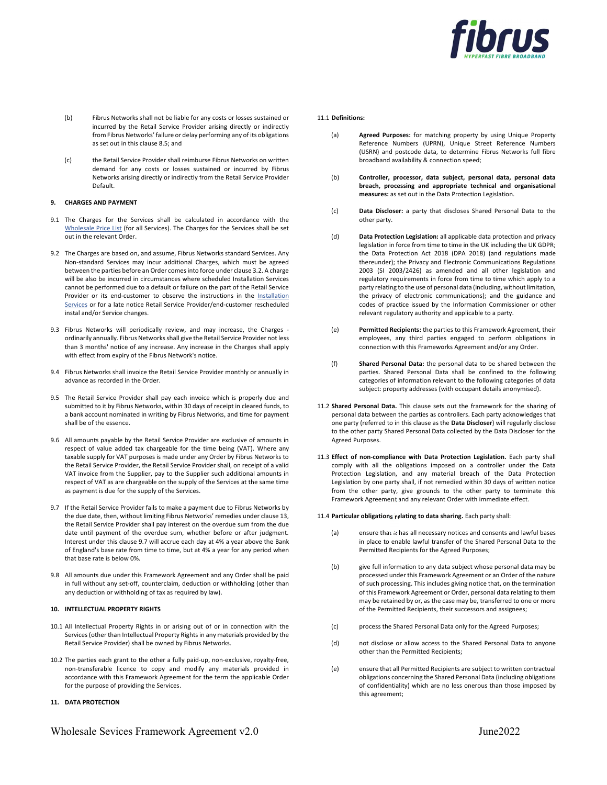

- (b) Fibrus Networks shall not be liable for any costs or losses sustained or incurred by the Retail Service Provider arising directly or indirectly from Fibrus Networks' failure or delay performing any of its obligations as set out in this clause 8.5; and
- (c) the Retail Service Provider shall reimburse Fibrus Networks on written demand for any costs or losses sustained or incurred by Fibrus Networks arising directly or indirectly from the Retail Service Provider Default.

### 9. CHARGES AND PAYMENT

- 9.1 The Charges for the Services shall be calculated in accordance with the Wholesale Price List (for all Services). The Charges for the Services shall be set out in the relevant Order.
- 9.2 The Charges are based on, and assume, Fibrus Networks standard Services. Any Non-standard Services may incur additional Charges, which must be agreed between the parties before an Order comes into force under clause 3.2. A charge will be also be incurred in circumstances where scheduled Installation Services cannot be performed due to a default or failure on the part of the Retail Service Provider or its end-customer to observe the instructions in the Installation Services or for a late notice Retail Service Provider/end-customer rescheduled instal and/or Service changes.
- 9.3 Fibrus Networks will periodically review, and may increase, the Charges ordinarily annually. Fibrus Networks shall give the Retail Service Provider not less than 3 months' notice of any increase. Any increase in the Charges shall apply with effect from expiry of the Fibrus Network's notice.
- 9.4 Fibrus Networks shall invoice the Retail Service Provider monthly or annually in advance as recorded in the Order.
- 9.5 The Retail Service Provider shall pay each invoice which is properly due and submitted to it by Fibrus Networks, within 30 days of receipt in cleared funds, to a bank account nominated in writing by Fibrus Networks, and time for payment shall be of the essence.
- 9.6 All amounts payable by the Retail Service Provider are exclusive of amounts in respect of value added tax chargeable for the time being (VAT). Where any taxable supply for VAT purposes is made under any Order by Fibrus Networks to the Retail Service Provider, the Retail Service Provider shall, on receipt of a valid VAT invoice from the Supplier, pay to the Supplier such additional amounts in respect of VAT as are chargeable on the supply of the Services at the same time as payment is due for the supply of the Services.
- 9.7 If the Retail Service Provider fails to make a payment due to Fibrus Networks by the due date, then, without limiting Fibrus Networks' remedies under clause 13, the Retail Service Provider shall pay interest on the overdue sum from the due date until payment of the overdue sum, whether before or after judgment. Interest under this clause 9.7 will accrue each day at 4% a year above the Bank of England's base rate from time to time, but at 4% a year for any period when that base rate is below 0%.
- 9.8 All amounts due under this Framework Agreement and any Order shall be paid in full without any set-off, counterclaim, deduction or withholding (other than any deduction or withholding of tax as required by law).

# 10. INTELLECTUAL PROPERTY RIGHTS

- 10.1 All Intellectual Property Rights in or arising out of or in connection with the Services (other than Intellectual Property Rights in any materials provided by the Retail Service Provider) shall be owned by Fibrus Networks.
- 10.2 The parties each grant to the other a fully paid-up, non-exclusive, royalty-free, non-transferable licence to copy and modify any materials provided in accordance with this Framework Agreement for the term the applicable Order for the purpose of providing the Services.

### 11. DATA PROTECTION

#### 11.1 Definitions:

- (a) Agreed Purposes: for matching property by using Unique Property Reference Numbers (UPRN), Unique Street Reference Numbers (USRN) and postcode data, to determine Fibrus Networks full fibre broadband availability & connection speed;
- (b) Controller, processor, data subject, personal data, personal data breach, processing and appropriate technical and organisational measures: as set out in the Data Protection Legislation.
- (c) Data Discloser: a party that discloses Shared Personal Data to the other party.
- (d) Data Protection Legislation: all applicable data protection and privacy legislation in force from time to time in the UK including the UK GDPR; the Data Protection Act 2018 (DPA 2018) (and regulations made thereunder); the Privacy and Electronic Communications Regulations 2003 (SI 2003/2426) as amended and all other legislation and regulatory requirements in force from time to time which apply to a party relating to the use of personal data (including, without limitation, the privacy of electronic communications); and the guidance and codes of practice issued by the Information Commissioner or other relevant regulatory authority and applicable to a party.
- (e) Permitted Recipients: the parties to this Framework Agreement, their employees, any third parties engaged to perform obligations in connection with this Frameworks Agreement and/or any Order.
- (f) Shared Personal Data: the personal data to be shared between the parties. Shared Personal Data shall be confined to the following categories of information relevant to the following categories of data subject: property addresses (with occupant details anonymised).
- 11.2 Shared Personal Data. This clause sets out the framework for the sharing of personal data between the parties as controllers. Each party acknowledges that one party (referred to in this clause as the Data Discloser) will regularly disclose to the other party Shared Personal Data collected by the Data Discloser for the Agreed Purposes.
- 11.3 Effect of non-compliance with Data Protection Legislation. Each party shall comply with all the obligations imposed on a controller under the Data Protection Legislation, and any material breach of the Data Protection Legislation by one party shall, if not remedied within 30 days of written notice from the other party, give grounds to the other party to terminate this Framework Agreement and any relevant Order with immediate effect.

#### 11.4 Particular obligations relating to data sharing. Each party shall:

- (a) ensure that it has all necessary notices and consents and lawful bases in place to enable lawful transfer of the Shared Personal Data to the Permitted Recipients for the Agreed Purposes;
- (b) give full information to any data subject whose personal data may be processed under this Framework Agreement or an Order of the nature of such processing. This includes giving notice that, on the termination of this Framework Agreement or Order, personal data relating to them may be retained by or, as the case may be, transferred to one or more of the Permitted Recipients, their successors and assignees;
- (c) process the Shared Personal Data only for the Agreed Purposes;
- (d) not disclose or allow access to the Shared Personal Data to anyone other than the Permitted Recipients;
- (e) ensure that all Permitted Recipients are subject to written contractual obligations concerning the Shared Personal Data (including obligations of confidentiality) which are no less onerous than those imposed by this agreement;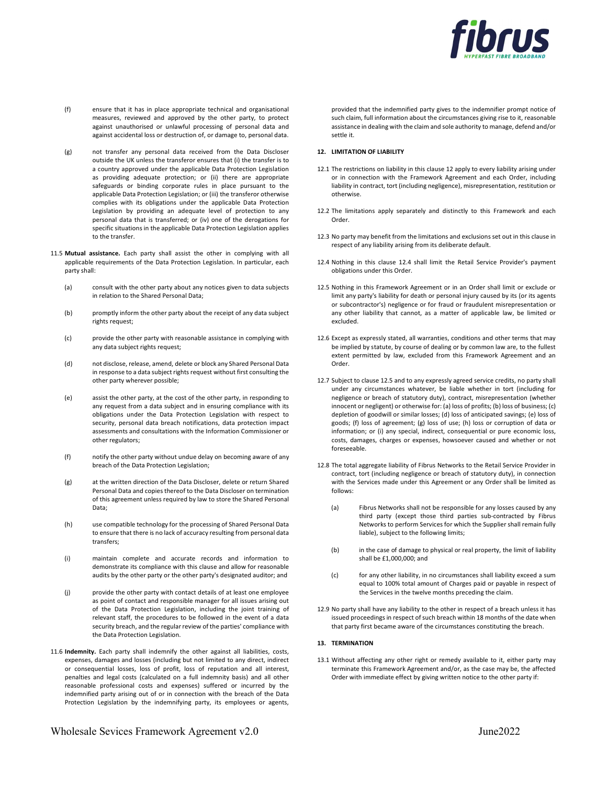

- (f) ensure that it has in place appropriate technical and organisational measures, reviewed and approved by the other party, to protect against unauthorised or unlawful processing of personal data and against accidental loss or destruction of, or damage to, personal data.
- (g) not transfer any personal data received from the Data Discloser outside the UK unless the transferor ensures that (i) the transfer is to a country approved under the applicable Data Protection Legislation as providing adequate protection; or (ii) there are appropriate safeguards or binding corporate rules in place pursuant to the applicable Data Protection Legislation; or (iii) the transferor otherwise complies with its obligations under the applicable Data Protection Legislation by providing an adequate level of protection to any personal data that is transferred; or (iv) one of the derogations for specific situations in the applicable Data Protection Legislation applies to the transfer.
- 11.5 Mutual assistance. Each party shall assist the other in complying with all applicable requirements of the Data Protection Legislation. In particular, each party shall:
	- (a) consult with the other party about any notices given to data subjects in relation to the Shared Personal Data;
	- (b) promptly inform the other party about the receipt of any data subject rights request;
	- (c) provide the other party with reasonable assistance in complying with any data subject rights request;
	- (d) not disclose, release, amend, delete or block any Shared Personal Data in response to a data subject rights request without first consulting the other party wherever possible;
	- (e) assist the other party, at the cost of the other party, in responding to any request from a data subject and in ensuring compliance with its obligations under the Data Protection Legislation with respect to security, personal data breach notifications, data protection impact assessments and consultations with the Information Commissioner or other regulators;
	- (f) notify the other party without undue delay on becoming aware of any breach of the Data Protection Legislation;
	- (g) at the written direction of the Data Discloser, delete or return Shared Personal Data and copies thereof to the Data Discloser on termination of this agreement unless required by law to store the Shared Personal Data;
	- (h) use compatible technology for the processing of Shared Personal Data to ensure that there is no lack of accuracy resulting from personal data transfers;
	- (i) maintain complete and accurate records and information to demonstrate its compliance with this clause and allow for reasonable audits by the other party or the other party's designated auditor; and
	- (j) provide the other party with contact details of at least one employee as point of contact and responsible manager for all issues arising out of the Data Protection Legislation, including the joint training of relevant staff, the procedures to be followed in the event of a data security breach, and the regular review of the parties' compliance with the Data Protection Legislation.
- 11.6 Indemnity. Each party shall indemnify the other against all liabilities, costs, expenses, damages and losses (including but not limited to any direct, indirect or consequential losses, loss of profit, loss of reputation and all interest, penalties and legal costs (calculated on a full indemnity basis) and all other reasonable professional costs and expenses) suffered or incurred by the indemnified party arising out of or in connection with the breach of the Data Protection Legislation by the indemnifying party, its employees or agents,

provided that the indemnified party gives to the indemnifier prompt notice of such claim, full information about the circumstances giving rise to it, reasonable assistance in dealing with the claim and sole authority to manage, defend and/or settle it.

#### 12. LIMITATION OF LIABILITY

- 12.1 The restrictions on liability in this clause 12 apply to every liability arising under or in connection with the Framework Agreement and each Order, including liability in contract, tort (including negligence), misrepresentation, restitution or otherwise.
- 12.2 The limitations apply separately and distinctly to this Framework and each Order.
- 12.3 No party may benefit from the limitations and exclusions set out in this clause in respect of any liability arising from its deliberate default.
- 12.4 Nothing in this clause 12.4 shall limit the Retail Service Provider's payment obligations under this Order.
- 12.5 Nothing in this Framework Agreement or in an Order shall limit or exclude or limit any party's liability for death or personal injury caused by its (or its agents or subcontractor's) negligence or for fraud or fraudulent misrepresentation or any other liability that cannot, as a matter of applicable law, be limited or excluded.
- 12.6 Except as expressly stated, all warranties, conditions and other terms that may be implied by statute, by course of dealing or by common law are, to the fullest extent permitted by law, excluded from this Framework Agreement and an Order.
- 12.7 Subject to clause 12.5 and to any expressly agreed service credits, no party shall under any circumstances whatever, be liable whether in tort (including for negligence or breach of statutory duty), contract, misrepresentation (whether innocent or negligent) or otherwise for: (a) loss of profits; (b) loss of business; (c) depletion of goodwill or similar losses; (d) loss of anticipated savings; (e) loss of goods; (f) loss of agreement; (g) loss of use; (h) loss or corruption of data or information; or (i) any special, indirect, consequential or pure economic loss, costs, damages, charges or expenses, howsoever caused and whether or not foreseeable.
- 12.8 The total aggregate liability of Fibrus Networks to the Retail Service Provider in contract, tort (including negligence or breach of statutory duty), in connection with the Services made under this Agreement or any Order shall be limited as follows:
	- (a) Fibrus Networks shall not be responsible for any losses caused by any third party (except those third parties sub-contracted by Fibrus Networks to perform Services for which the Supplier shall remain fully liable), subject to the following limits;
	- (b) in the case of damage to physical or real property, the limit of liability shall be £1,000,000; and
	- (c) for any other liability, in no circumstances shall liability exceed a sum equal to 100% total amount of Charges paid or payable in respect of the Services in the twelve months preceding the claim.
- 12.9 No party shall have any liability to the other in respect of a breach unless it has issued proceedings in respect of such breach within 18 months of the date when that party first became aware of the circumstances constituting the breach.

#### 13. TERMINATION

13.1 Without affecting any other right or remedy available to it, either party may terminate this Framework Agreement and/or, as the case may be, the affected Order with immediate effect by giving written notice to the other party if: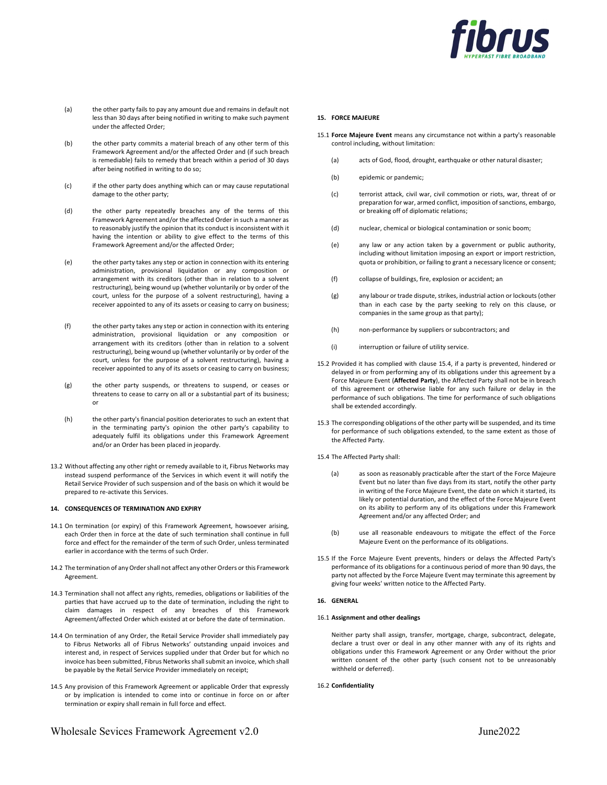

- (a) the other party fails to pay any amount due and remains in default not less than 30 days after being notified in writing to make such payment under the affected Order;
- (b) the other party commits a material breach of any other term of this Framework Agreement and/or the affected Order and (if such breach is remediable) fails to remedy that breach within a period of 30 days after being notified in writing to do so;
- (c) if the other party does anything which can or may cause reputational damage to the other party;
- (d) the other party repeatedly breaches any of the terms of this Framework Agreement and/or the affected Order in such a manner as to reasonably justify the opinion that its conduct is inconsistent with it having the intention or ability to give effect to the terms of this Framework Agreement and/or the affected Order;
- (e) the other party takes any step or action in connection with its entering administration, provisional liquidation or any composition or arrangement with its creditors (other than in relation to a solvent restructuring), being wound up (whether voluntarily or by order of the court, unless for the purpose of a solvent restructuring), having a receiver appointed to any of its assets or ceasing to carry on business;
- (f) the other party takes any step or action in connection with its entering administration, provisional liquidation or any composition or arrangement with its creditors (other than in relation to a solvent restructuring), being wound up (whether voluntarily or by order of the court, unless for the purpose of a solvent restructuring), having a receiver appointed to any of its assets or ceasing to carry on business;
- (g) the other party suspends, or threatens to suspend, or ceases or threatens to cease to carry on all or a substantial part of its business; or
- (h) the other party's financial position deteriorates to such an extent that in the terminating party's opinion the other party's capability to adequately fulfil its obligations under this Framework Agreement and/or an Order has been placed in jeopardy.
- 13.2 Without affecting any other right or remedy available to it, Fibrus Networks may instead suspend performance of the Services in which event it will notify the Retail Service Provider of such suspension and of the basis on which it would be prepared to re-activate this Services.

### 14. CONSEQUENCES OF TERMINATION AND EXPIRY

- 14.1 On termination (or expiry) of this Framework Agreement, howsoever arising, each Order then in force at the date of such termination shall continue in full force and effect for the remainder of the term of such Order, unless terminated earlier in accordance with the terms of such Order.
- 14.2 The termination of any Order shall not affect any other Orders or this Framework Agreement.
- 14.3 Termination shall not affect any rights, remedies, obligations or liabilities of the parties that have accrued up to the date of termination, including the right to claim damages in respect of any breaches of this Framework Agreement/affected Order which existed at or before the date of termination.
- 14.4 On termination of any Order, the Retail Service Provider shall immediately pay to Fibrus Networks all of Fibrus Networks' outstanding unpaid invoices and interest and, in respect of Services supplied under that Order but for which no invoice has been submitted, Fibrus Networks shall submit an invoice, which shall be payable by the Retail Service Provider immediately on receipt;
- 14.5 Any provision of this Framework Agreement or applicable Order that expressly or by implication is intended to come into or continue in force on or after termination or expiry shall remain in full force and effect.

#### 15. FORCE MAJEURE

- 15.1 Force Majeure Event means any circumstance not within a party's reasonable control including, without limitation:
	- (a) acts of God, flood, drought, earthquake or other natural disaster;
	- (b) epidemic or pandemic;
	- (c) terrorist attack, civil war, civil commotion or riots, war, threat of or preparation for war, armed conflict, imposition of sanctions, embargo, or breaking off of diplomatic relations;
	- (d) nuclear, chemical or biological contamination or sonic boom;
	- (e) any law or any action taken by a government or public authority, including without limitation imposing an export or import restriction, quota or prohibition, or failing to grant a necessary licence or consent;
	- (f) collapse of buildings, fire, explosion or accident; an
	- (g) any labour or trade dispute, strikes, industrial action or lockouts (other than in each case by the party seeking to rely on this clause, or companies in the same group as that party);
	- (h) non-performance by suppliers or subcontractors; and
	- (i) interruption or failure of utility service.
- 15.2 Provided it has complied with clause 15.4, if a party is prevented, hindered or delayed in or from performing any of its obligations under this agreement by a Force Majeure Event (Affected Party), the Affected Party shall not be in breach of this agreement or otherwise liable for any such failure or delay in the performance of such obligations. The time for performance of such obligations shall be extended accordingly.
- 15.3 The corresponding obligations of the other party will be suspended, and its time for performance of such obligations extended, to the same extent as those of the Affected Party.
- 15.4 The Affected Party shall:
	- (a) as soon as reasonably practicable after the start of the Force Majeure Event but no later than five days from its start, notify the other party in writing of the Force Majeure Event, the date on which it started, its likely or potential duration, and the effect of the Force Majeure Event on its ability to perform any of its obligations under this Framework Agreement and/or any affected Order; and
	- (b) use all reasonable endeavours to mitigate the effect of the Force Majeure Event on the performance of its obligations.
- 15.5 If the Force Majeure Event prevents, hinders or delays the Affected Party's performance of its obligations for a continuous period of more than 90 days, the party not affected by the Force Majeure Event may terminate this agreement by giving four weeks' written notice to the Affected Party.

### 16. GENERAL

#### 16.1 Assignment and other dealings

Neither party shall assign, transfer, mortgage, charge, subcontract, delegate, declare a trust over or deal in any other manner with any of its rights and obligations under this Framework Agreement or any Order without the prior written consent of the other party (such consent not to be unreasonably withheld or deferred).

# 16.2 Confidentiality